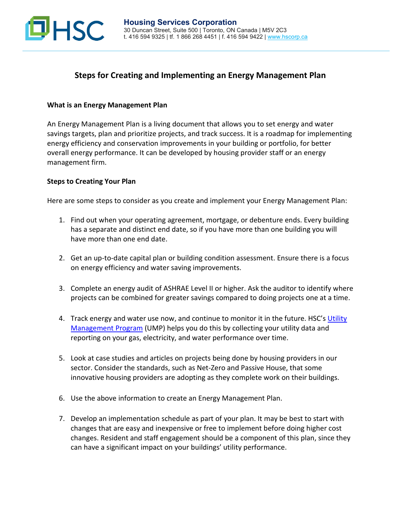

## **Steps for Creating and Implementing an Energy Management Plan**

## **What is an Energy Management Plan**

An Energy Management Plan is a living document that allows you to set energy and water savings targets, plan and prioritize projects, and track success. It is a roadmap for implementing energy efficiency and conservation improvements in your building or portfolio, for better overall energy performance. It can be developed by housing provider staff or an energy management firm.

## **Steps to Creating Your Plan**

Here are some steps to consider as you create and implement your Energy Management Plan:

- 1. Find out when your operating agreement, mortgage, or debenture ends. Every building has a separate and distinct end date, so if you have more than one building you will have more than one end date.
- 2. Get an up-to-date capital plan or building condition assessment. Ensure there is a focus on energy efficiency and water saving improvements.
- 3. Complete an energy audit of ASHRAE Level II or higher. Ask the auditor to identify where projects can be combined for greater savings compared to doing projects one at a time.
- 4. Track energy and water use now, and continue to monitor it in the future. HSC's [Utility](https://hscorp.ca/services/energy/ump/)  [Management Program](https://hscorp.ca/services/energy/ump/) (UMP) helps you do this by collecting your utility data and reporting on your gas, electricity, and water performance over time.
- 5. Look at case studies and articles on projects being done by housing providers in our sector. Consider the standards, such as Net-Zero and Passive House, that some innovative housing providers are adopting as they complete work on their buildings.
- 6. Use the above information to create an Energy Management Plan.
- 7. Develop an implementation schedule as part of your plan. It may be best to start with changes that are easy and inexpensive or free to implement before doing higher cost changes. Resident and staff engagement should be a component of this plan, since they can have a significant impact on your buildings' utility performance.